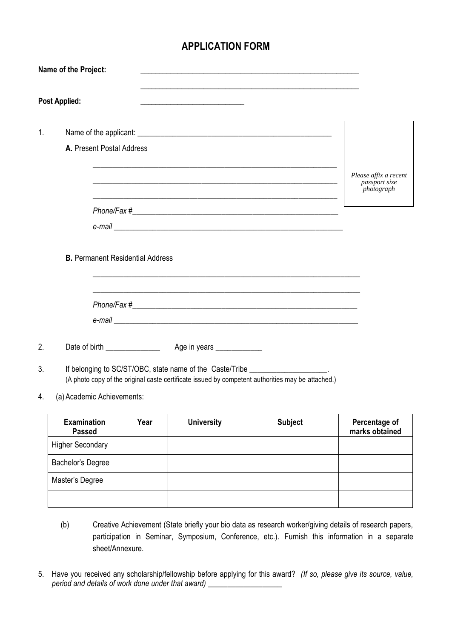## **APPLICATION FORM**

|                | Name of the Project:                    |      |                                                             |                                                                                                                                                                                    |                                                      |
|----------------|-----------------------------------------|------|-------------------------------------------------------------|------------------------------------------------------------------------------------------------------------------------------------------------------------------------------------|------------------------------------------------------|
|                | <b>Post Applied:</b>                    |      |                                                             |                                                                                                                                                                                    |                                                      |
| $\mathbf{1}$ . |                                         |      |                                                             |                                                                                                                                                                                    |                                                      |
|                | A. Present Postal Address               |      |                                                             |                                                                                                                                                                                    |                                                      |
|                |                                         |      | <u> 1980 - Johann Stoff, amerikansk politiker (d. 1980)</u> |                                                                                                                                                                                    | Please affix a recent<br>passport size<br>photograph |
|                |                                         |      |                                                             |                                                                                                                                                                                    |                                                      |
|                |                                         |      |                                                             |                                                                                                                                                                                    |                                                      |
|                | <b>B.</b> Permanent Residential Address |      |                                                             |                                                                                                                                                                                    |                                                      |
| 2.             |                                         |      |                                                             |                                                                                                                                                                                    |                                                      |
| 3.             |                                         |      |                                                             | If belonging to SC/ST/OBC, state name of the Caste/Tribe ___________________.<br>(A photo copy of the original caste certificate issued by competent authorities may be attached.) |                                                      |
| 4.             | (a) Academic Achievements:              |      |                                                             |                                                                                                                                                                                    |                                                      |
|                | <b>Examination</b><br><b>Passed</b>     | Year | <b>University</b>                                           | <b>Subject</b>                                                                                                                                                                     | Percentage of<br>marks obtained                      |
|                | <b>Higher Secondary</b>                 |      |                                                             |                                                                                                                                                                                    |                                                      |
|                | Bachelor's Degree                       |      |                                                             |                                                                                                                                                                                    |                                                      |
|                | Master's Degree                         |      |                                                             |                                                                                                                                                                                    |                                                      |

- (b) Creative Achievement (State briefly your bio data as research worker/giving details of research papers, participation in Seminar, Symposium, Conference, etc.). Furnish this information in a separate sheet/Annexure.
- 5. Have you received any scholarship/fellowship before applying for this award? *(If so, please give its source, value, period and details of work done under that award)* \_\_\_\_\_\_\_\_\_\_\_\_\_\_\_\_\_\_\_